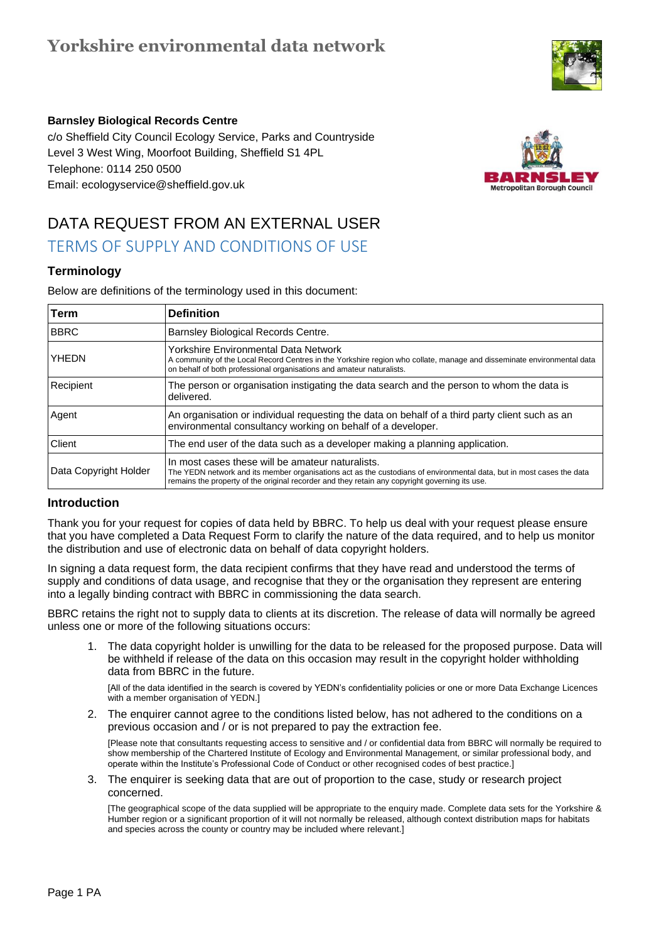## **Yorkshire environmental data network**



#### **Barnsley Biological Records Centre**

 Level 3 West Wing, Moorfoot Building, Sheffield S1 4PL Telephone: 0114 250 0500 c/o Sheffield City Council Ecology Service, Parks and Countryside Email: ecologyservice@sheffield.gov.uk



# DATA REQUEST FROM AN EXTERNAL USER

## TERMS OF SUPPLY AND CONDITIONS OF USE

### **Terminology**

Below are definitions of the terminology used in this document:

| Term                  | <b>Definition</b>                                                                                                                                                                                                                                                           |
|-----------------------|-----------------------------------------------------------------------------------------------------------------------------------------------------------------------------------------------------------------------------------------------------------------------------|
| <b>BBRC</b>           | Barnsley Biological Records Centre.                                                                                                                                                                                                                                         |
| YHEDN                 | Yorkshire Environmental Data Network<br>A community of the Local Record Centres in the Yorkshire region who collate, manage and disseminate environmental data<br>on behalf of both professional organisations and amateur naturalists.                                     |
| Recipient             | The person or organisation instigating the data search and the person to whom the data is<br>delivered.                                                                                                                                                                     |
| Agent                 | An organisation or individual requesting the data on behalf of a third party client such as an<br>environmental consultancy working on behalf of a developer.                                                                                                               |
| Client                | The end user of the data such as a developer making a planning application.                                                                                                                                                                                                 |
| Data Copyright Holder | In most cases these will be amateur naturalists.<br>The YEDN network and its member organisations act as the custodians of environmental data, but in most cases the data<br>remains the property of the original recorder and they retain any copyright governing its use. |

### **Introduction**

Thank you for your request for copies of data held by BBRC. To help us deal with your request please ensure that you have completed a Data Request Form to clarify the nature of the data required, and to help us monitor the distribution and use of electronic data on behalf of data copyright holders.

In signing a data request form, the data recipient confirms that they have read and understood the terms of supply and conditions of data usage, and recognise that they or the organisation they represent are entering into a legally binding contract with BBRC in commissioning the data search.

BBRC retains the right not to supply data to clients at its discretion. The release of data will normally be agreed unless one or more of the following situations occurs:

1. The data copyright holder is unwilling for the data to be released for the proposed purpose. Data will be withheld if release of the data on this occasion may result in the copyright holder withholding data from BBRC in the future.

[All of the data identified in the search is covered by YEDN's confidentiality policies or one or more Data Exchange Licences with a member organisation of YEDN.]

2. The enquirer cannot agree to the conditions listed below, has not adhered to the conditions on a previous occasion and / or is not prepared to pay the extraction fee.

[Please note that consultants requesting access to sensitive and / or confidential data from BBRC will normally be required to show membership of the Chartered Institute of Ecology and Environmental Management, or similar professional body, and operate within the Institute's Professional Code of Conduct or other recognised codes of best practice.]

3. The enquirer is seeking data that are out of proportion to the case, study or research project concerned.

[The geographical scope of the data supplied will be appropriate to the enquiry made. Complete data sets for the Yorkshire & Humber region or a significant proportion of it will not normally be released, although context distribution maps for habitats and species across the county or country may be included where relevant.]